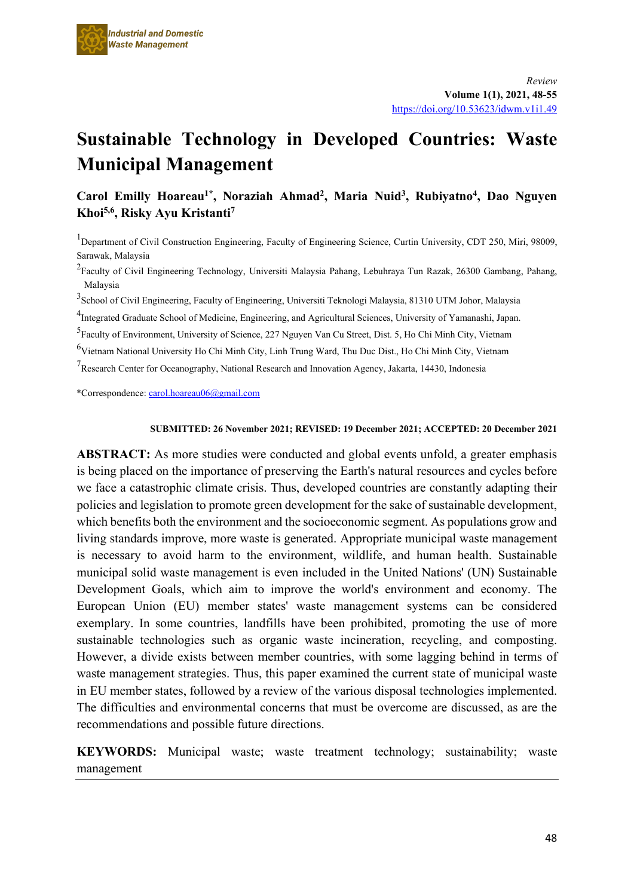

# **Sustainable Technology in Developed Countries: Waste Municipal Management**

# Carol Emilly Hoareau<sup>1\*</sup>, Noraziah Ahmad<sup>2</sup>, Maria Nuid<sup>3</sup>, Rubiyatno<sup>4</sup>, Dao Nguyen **Khoi5,6, Risky Ayu Kristanti7**

<sup>1</sup>Department of Civil Construction Engineering, Faculty of Engineering Science, Curtin University, CDT 250, Miri, 98009, Sarawak, Malaysia

<sup>2</sup>Faculty of Civil Engineering Technology, Universiti Malaysia Pahang, Lebuhraya Tun Razak, 26300 Gambang, Pahang, Malaysia

<sup>3</sup>School of Civil Engineering, Faculty of Engineering, Universiti Teknologi Malaysia, 81310 UTM Johor, Malaysia

<sup>4</sup>Integrated Graduate School of Medicine, Engineering, and Agricultural Sciences, University of Yamanashi, Japan.

5 Faculty of Environment, University of Science, 227 Nguyen Van Cu Street, Dist. 5, Ho Chi Minh City, Vietnam

6 Vietnam National University Ho Chi Minh City, Linh Trung Ward, Thu Duc Dist., Ho Chi Minh City, Vietnam

<sup>7</sup>Research Center for Oceanography, National Research and Innovation Agency, Jakarta, 14430, Indonesia

\*Correspondence[: carol.hoareau06@gmail.com](mailto:carol.hoareau06@gmail.com)

#### **SUBMITTED: 26 November 2021; REVISED: 19 December 2021; ACCEPTED: 20 December 2021**

**ABSTRACT:** As more studies were conducted and global events unfold, a greater emphasis is being placed on the importance of preserving the Earth's natural resources and cycles before we face a catastrophic climate crisis. Thus, developed countries are constantly adapting their policies and legislation to promote green development for the sake of sustainable development, which benefits both the environment and the socioeconomic segment. As populations grow and living standards improve, more waste is generated. Appropriate municipal waste management is necessary to avoid harm to the environment, wildlife, and human health. Sustainable municipal solid waste management is even included in the United Nations' (UN) Sustainable Development Goals, which aim to improve the world's environment and economy. The European Union (EU) member states' waste management systems can be considered exemplary. In some countries, landfills have been prohibited, promoting the use of more sustainable technologies such as organic waste incineration, recycling, and composting. However, a divide exists between member countries, with some lagging behind in terms of waste management strategies. Thus, this paper examined the current state of municipal waste in EU member states, followed by a review of the various disposal technologies implemented. The difficulties and environmental concerns that must be overcome are discussed, as are the recommendations and possible future directions.

**KEYWORDS:** Municipal waste; waste treatment technology; sustainability; waste management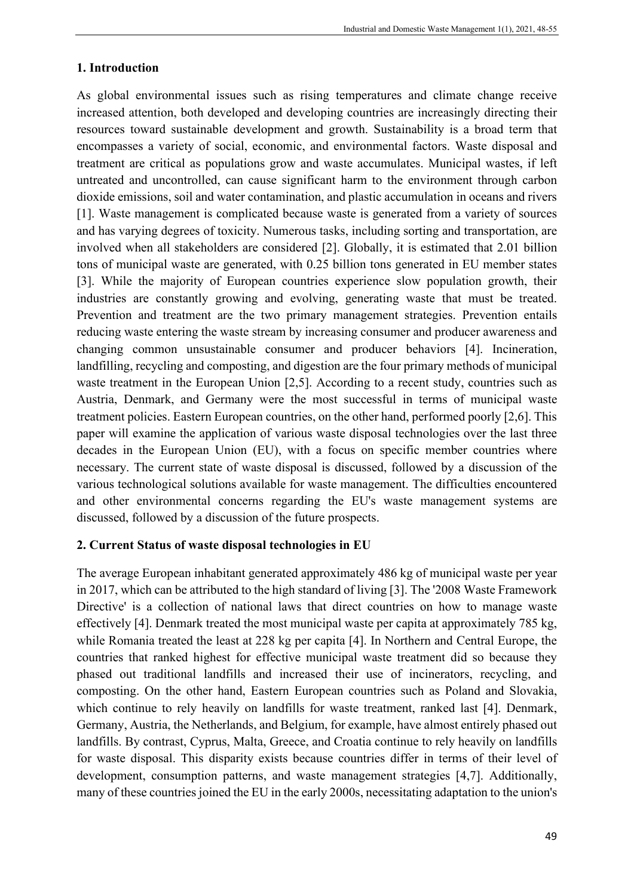#### **1. Introduction**

As global environmental issues such as rising temperatures and climate change receive increased attention, both developed and developing countries are increasingly directing their resources toward sustainable development and growth. Sustainability is a broad term that encompasses a variety of social, economic, and environmental factors. Waste disposal and treatment are critical as populations grow and waste accumulates. Municipal wastes, if left untreated and uncontrolled, can cause significant harm to the environment through carbon dioxide emissions, soil and water contamination, and plastic accumulation in oceans and rivers [1]. Waste management is complicated because waste is generated from a variety of sources and has varying degrees of toxicity. Numerous tasks, including sorting and transportation, are involved when all stakeholders are considered [2]. Globally, it is estimated that 2.01 billion tons of municipal waste are generated, with 0.25 billion tons generated in EU member states [3]. While the majority of European countries experience slow population growth, their industries are constantly growing and evolving, generating waste that must be treated. Prevention and treatment are the two primary management strategies. Prevention entails reducing waste entering the waste stream by increasing consumer and producer awareness and changing common unsustainable consumer and producer behaviors [4]. Incineration, landfilling, recycling and composting, and digestion are the four primary methods of municipal waste treatment in the European Union [2,5]. According to a recent study, countries such as Austria, Denmark, and Germany were the most successful in terms of municipal waste treatment policies. Eastern European countries, on the other hand, performed poorly [2,6]. This paper will examine the application of various waste disposal technologies over the last three decades in the European Union (EU), with a focus on specific member countries where necessary. The current state of waste disposal is discussed, followed by a discussion of the various technological solutions available for waste management. The difficulties encountered and other environmental concerns regarding the EU's waste management systems are discussed, followed by a discussion of the future prospects.

#### **2. Current Status of waste disposal technologies in EU**

The average European inhabitant generated approximately 486 kg of municipal waste per year in 2017, which can be attributed to the high standard of living [3]. The '2008 Waste Framework Directive' is a collection of national laws that direct countries on how to manage waste effectively [4]. Denmark treated the most municipal waste per capita at approximately 785 kg, while Romania treated the least at 228 kg per capita [4]. In Northern and Central Europe, the countries that ranked highest for effective municipal waste treatment did so because they phased out traditional landfills and increased their use of incinerators, recycling, and composting. On the other hand, Eastern European countries such as Poland and Slovakia, which continue to rely heavily on landfills for waste treatment, ranked last [4]. Denmark, Germany, Austria, the Netherlands, and Belgium, for example, have almost entirely phased out landfills. By contrast, Cyprus, Malta, Greece, and Croatia continue to rely heavily on landfills for waste disposal. This disparity exists because countries differ in terms of their level of development, consumption patterns, and waste management strategies [4,7]. Additionally, many of these countries joined the EU in the early 2000s, necessitating adaptation to the union's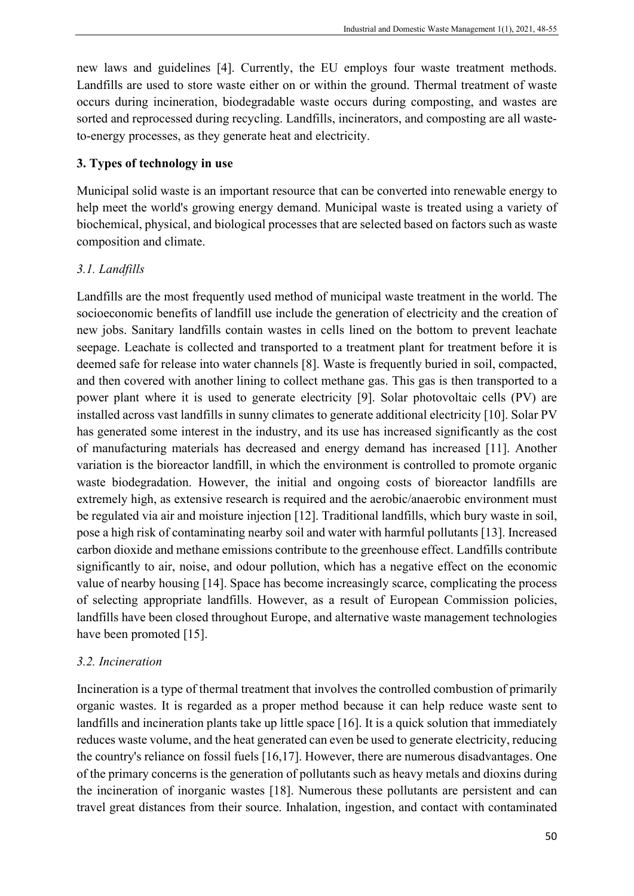new laws and guidelines [4]. Currently, the EU employs four waste treatment methods. Landfills are used to store waste either on or within the ground. Thermal treatment of waste occurs during incineration, biodegradable waste occurs during composting, and wastes are sorted and reprocessed during recycling. Landfills, incinerators, and composting are all wasteto-energy processes, as they generate heat and electricity.

#### **3. Types of technology in use**

Municipal solid waste is an important resource that can be converted into renewable energy to help meet the world's growing energy demand. Municipal waste is treated using a variety of biochemical, physical, and biological processes that are selected based on factors such as waste composition and climate.

# *3.1. Landfills*

Landfills are the most frequently used method of municipal waste treatment in the world. The socioeconomic benefits of landfill use include the generation of electricity and the creation of new jobs. Sanitary landfills contain wastes in cells lined on the bottom to prevent leachate seepage. Leachate is collected and transported to a treatment plant for treatment before it is deemed safe for release into water channels [8]. Waste is frequently buried in soil, compacted, and then covered with another lining to collect methane gas. This gas is then transported to a power plant where it is used to generate electricity [9]. Solar photovoltaic cells (PV) are installed across vast landfills in sunny climates to generate additional electricity [10]. Solar PV has generated some interest in the industry, and its use has increased significantly as the cost of manufacturing materials has decreased and energy demand has increased [11]. Another variation is the bioreactor landfill, in which the environment is controlled to promote organic waste biodegradation. However, the initial and ongoing costs of bioreactor landfills are extremely high, as extensive research is required and the aerobic/anaerobic environment must be regulated via air and moisture injection [12]. Traditional landfills, which bury waste in soil, pose a high risk of contaminating nearby soil and water with harmful pollutants [13]. Increased carbon dioxide and methane emissions contribute to the greenhouse effect. Landfills contribute significantly to air, noise, and odour pollution, which has a negative effect on the economic value of nearby housing [14]. Space has become increasingly scarce, complicating the process of selecting appropriate landfills. However, as a result of European Commission policies, landfills have been closed throughout Europe, and alternative waste management technologies have been promoted [15].

#### *3.2. Incineration*

Incineration is a type of thermal treatment that involves the controlled combustion of primarily organic wastes. It is regarded as a proper method because it can help reduce waste sent to landfills and incineration plants take up little space [16]. It is a quick solution that immediately reduces waste volume, and the heat generated can even be used to generate electricity, reducing the country's reliance on fossil fuels [16,17]. However, there are numerous disadvantages. One of the primary concerns is the generation of pollutants such as heavy metals and dioxins during the incineration of inorganic wastes [18]. Numerous these pollutants are persistent and can travel great distances from their source. Inhalation, ingestion, and contact with contaminated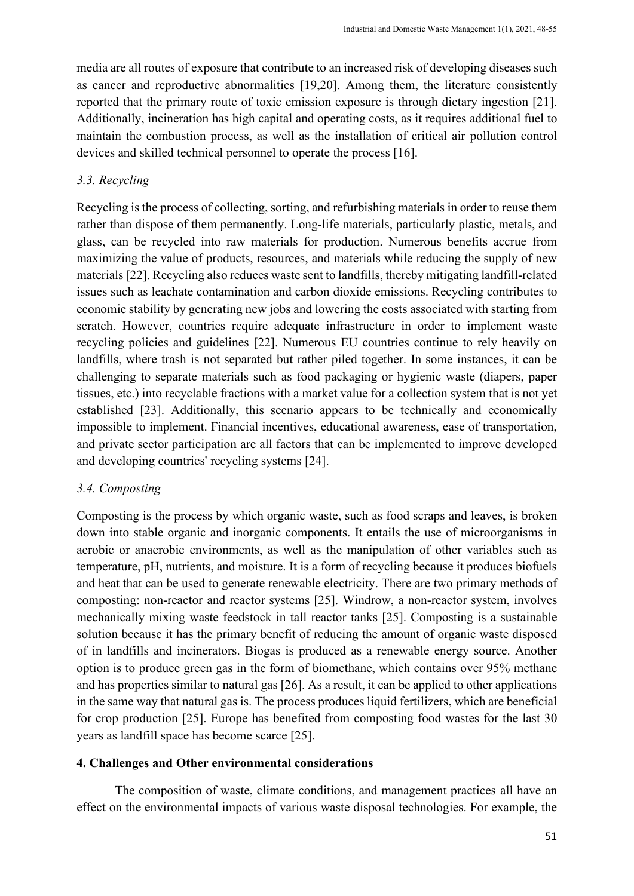media are all routes of exposure that contribute to an increased risk of developing diseases such as cancer and reproductive abnormalities [19,20]. Among them, the literature consistently reported that the primary route of toxic emission exposure is through dietary ingestion [21]. Additionally, incineration has high capital and operating costs, as it requires additional fuel to maintain the combustion process, as well as the installation of critical air pollution control devices and skilled technical personnel to operate the process [16].

### *3.3. Recycling*

Recycling is the process of collecting, sorting, and refurbishing materials in order to reuse them rather than dispose of them permanently. Long-life materials, particularly plastic, metals, and glass, can be recycled into raw materials for production. Numerous benefits accrue from maximizing the value of products, resources, and materials while reducing the supply of new materials [22]. Recycling also reduces waste sent to landfills, thereby mitigating landfill-related issues such as leachate contamination and carbon dioxide emissions. Recycling contributes to economic stability by generating new jobs and lowering the costs associated with starting from scratch. However, countries require adequate infrastructure in order to implement waste recycling policies and guidelines [22]. Numerous EU countries continue to rely heavily on landfills, where trash is not separated but rather piled together. In some instances, it can be challenging to separate materials such as food packaging or hygienic waste (diapers, paper tissues, etc.) into recyclable fractions with a market value for a collection system that is not yet established [23]. Additionally, this scenario appears to be technically and economically impossible to implement. Financial incentives, educational awareness, ease of transportation, and private sector participation are all factors that can be implemented to improve developed and developing countries' recycling systems [24].

#### *3.4. Composting*

Composting is the process by which organic waste, such as food scraps and leaves, is broken down into stable organic and inorganic components. It entails the use of microorganisms in aerobic or anaerobic environments, as well as the manipulation of other variables such as temperature, pH, nutrients, and moisture. It is a form of recycling because it produces biofuels and heat that can be used to generate renewable electricity. There are two primary methods of composting: non-reactor and reactor systems [25]. Windrow, a non-reactor system, involves mechanically mixing waste feedstock in tall reactor tanks [25]. Composting is a sustainable solution because it has the primary benefit of reducing the amount of organic waste disposed of in landfills and incinerators. Biogas is produced as a renewable energy source. Another option is to produce green gas in the form of biomethane, which contains over 95% methane and has properties similar to natural gas [26]. As a result, it can be applied to other applications in the same way that natural gas is. The process produces liquid fertilizers, which are beneficial for crop production [25]. Europe has benefited from composting food wastes for the last 30 years as landfill space has become scarce [25].

#### **4. Challenges and Other environmental considerations**

The composition of waste, climate conditions, and management practices all have an effect on the environmental impacts of various waste disposal technologies. For example, the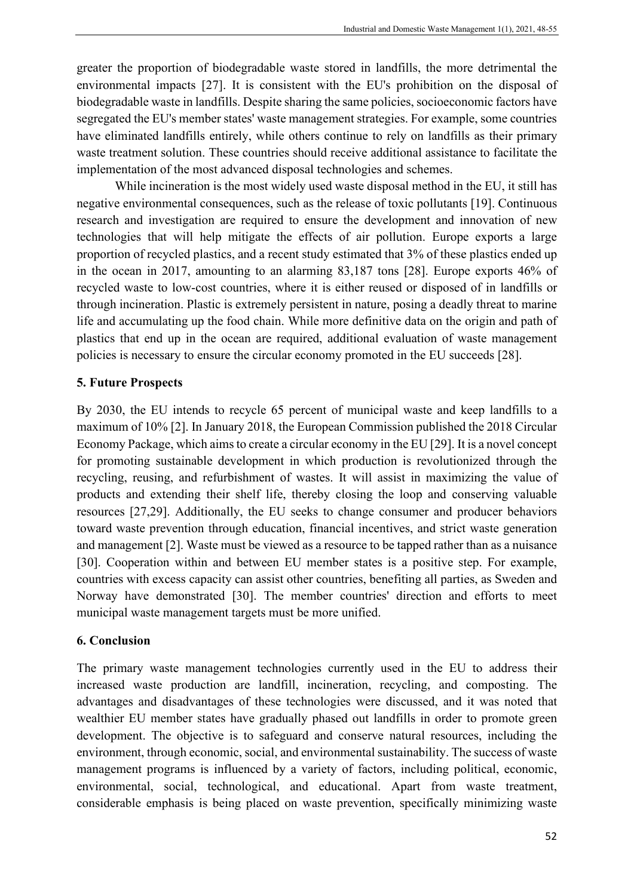greater the proportion of biodegradable waste stored in landfills, the more detrimental the environmental impacts [27]. It is consistent with the EU's prohibition on the disposal of biodegradable waste in landfills. Despite sharing the same policies, socioeconomic factors have segregated the EU's member states' waste management strategies. For example, some countries have eliminated landfills entirely, while others continue to rely on landfills as their primary waste treatment solution. These countries should receive additional assistance to facilitate the implementation of the most advanced disposal technologies and schemes.

While incineration is the most widely used waste disposal method in the EU, it still has negative environmental consequences, such as the release of toxic pollutants [19]. Continuous research and investigation are required to ensure the development and innovation of new technologies that will help mitigate the effects of air pollution. Europe exports a large proportion of recycled plastics, and a recent study estimated that 3% of these plastics ended up in the ocean in 2017, amounting to an alarming 83,187 tons [28]. Europe exports 46% of recycled waste to low-cost countries, where it is either reused or disposed of in landfills or through incineration. Plastic is extremely persistent in nature, posing a deadly threat to marine life and accumulating up the food chain. While more definitive data on the origin and path of plastics that end up in the ocean are required, additional evaluation of waste management policies is necessary to ensure the circular economy promoted in the EU succeeds [28].

#### **5. Future Prospects**

By 2030, the EU intends to recycle 65 percent of municipal waste and keep landfills to a maximum of 10% [2]. In January 2018, the European Commission published the 2018 Circular Economy Package, which aims to create a circular economy in the EU [29]. It is a novel concept for promoting sustainable development in which production is revolutionized through the recycling, reusing, and refurbishment of wastes. It will assist in maximizing the value of products and extending their shelf life, thereby closing the loop and conserving valuable resources [27,29]. Additionally, the EU seeks to change consumer and producer behaviors toward waste prevention through education, financial incentives, and strict waste generation and management [2]. Waste must be viewed as a resource to be tapped rather than as a nuisance [30]. Cooperation within and between EU member states is a positive step. For example, countries with excess capacity can assist other countries, benefiting all parties, as Sweden and Norway have demonstrated [30]. The member countries' direction and efforts to meet municipal waste management targets must be more unified.

#### **6. Conclusion**

The primary waste management technologies currently used in the EU to address their increased waste production are landfill, incineration, recycling, and composting. The advantages and disadvantages of these technologies were discussed, and it was noted that wealthier EU member states have gradually phased out landfills in order to promote green development. The objective is to safeguard and conserve natural resources, including the environment, through economic, social, and environmental sustainability. The success of waste management programs is influenced by a variety of factors, including political, economic, environmental, social, technological, and educational. Apart from waste treatment, considerable emphasis is being placed on waste prevention, specifically minimizing waste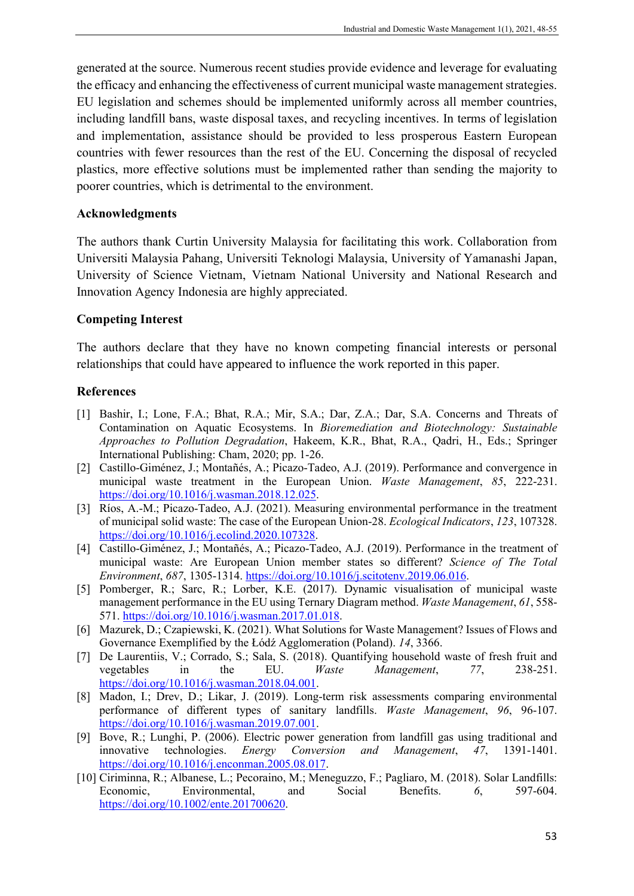generated at the source. Numerous recent studies provide evidence and leverage for evaluating the efficacy and enhancing the effectiveness of current municipal waste management strategies. EU legislation and schemes should be implemented uniformly across all member countries, including landfill bans, waste disposal taxes, and recycling incentives. In terms of legislation and implementation, assistance should be provided to less prosperous Eastern European countries with fewer resources than the rest of the EU. Concerning the disposal of recycled plastics, more effective solutions must be implemented rather than sending the majority to poorer countries, which is detrimental to the environment.

#### **Acknowledgments**

The authors thank Curtin University Malaysia for facilitating this work. Collaboration from Universiti Malaysia Pahang, Universiti Teknologi Malaysia, University of Yamanashi Japan, University of Science Vietnam, Vietnam National University and National Research and Innovation Agency Indonesia are highly appreciated.

# **Competing Interest**

The authors declare that they have no known competing financial interests or personal relationships that could have appeared to influence the work reported in this paper.

# **References**

- [1] Bashir, I.; Lone, F.A.; Bhat, R.A.; Mir, S.A.; Dar, Z.A.; Dar, S.A. Concerns and Threats of Contamination on Aquatic Ecosystems. In *Bioremediation and Biotechnology: Sustainable Approaches to Pollution Degradation*, Hakeem, K.R., Bhat, R.A., Qadri, H., Eds.; Springer International Publishing: Cham, 2020; pp. 1-26.
- [2] Castillo-Giménez, J.; Montañés, A.; Picazo-Tadeo, A.J. (2019). Performance and convergence in municipal waste treatment in the European Union. *Waste Management*, *85*, 222-231. [https://doi.org/10.1016/j.wasman.2018.12.025.](https://doi.org/10.1016/j.wasman.2018.12.025)
- [3] Ríos, A.-M.; Picazo-Tadeo, A.J. (2021). Measuring environmental performance in the treatment of municipal solid waste: The case of the European Union-28. *Ecological Indicators*, *123*, 107328. [https://doi.org/10.1016/j.ecolind.2020.107328.](https://doi.org/10.1016/j.ecolind.2020.107328)
- [4] Castillo-Giménez, J.; Montañés, A.; Picazo-Tadeo, A.J. (2019). Performance in the treatment of municipal waste: Are European Union member states so different? *Science of The Total Environment*, *687*, 1305-1314. [https://doi.org/10.1016/j.scitotenv.2019.06.016.](https://doi.org/10.1016/j.scitotenv.2019.06.016)
- [5] Pomberger, R.; Sarc, R.; Lorber, K.E. (2017). Dynamic visualisation of municipal waste management performance in the EU using Ternary Diagram method. *Waste Management*, *61*, 558- 571. [https://doi.org/10.1016/j.wasman.2017.01.018.](https://doi.org/10.1016/j.wasman.2017.01.018)
- [6] Mazurek, D.; Czapiewski, K. (2021). What Solutions for Waste Management? Issues of Flows and Governance Exemplified by the Łódź Agglomeration (Poland). *14*, 3366.
- [7] De Laurentiis, V.; Corrado, S.; Sala, S. (2018). Quantifying household waste of fresh fruit and vegetables in the EU. *Waste Management*, *77*, 238-251. [https://doi.org/10.1016/j.wasman.2018.04.001.](https://doi.org/10.1016/j.wasman.2018.04.001)
- [8] Madon, I.; Drev, D.; Likar, J. (2019). Long-term risk assessments comparing environmental performance of different types of sanitary landfills. *Waste Management*, *96*, 96-107. [https://doi.org/10.1016/j.wasman.2019.07.001.](https://doi.org/10.1016/j.wasman.2019.07.001)
- [9] Bove, R.; Lunghi, P. (2006). Electric power generation from landfill gas using traditional and innovative technologies. *Energy Conversion and Management*, *47*, 1391-1401. [https://doi.org/10.1016/j.enconman.2005.08.017.](https://doi.org/10.1016/j.enconman.2005.08.017)
- [10] Ciriminna, R.; Albanese, L.; Pecoraino, M.; Meneguzzo, F.; Pagliaro, M. (2018). Solar Landfills: Economic, Environmental, and Social Benefits. *6*, 597-604. [https://doi.org/10.1002/ente.201700620.](https://doi.org/10.1002/ente.201700620)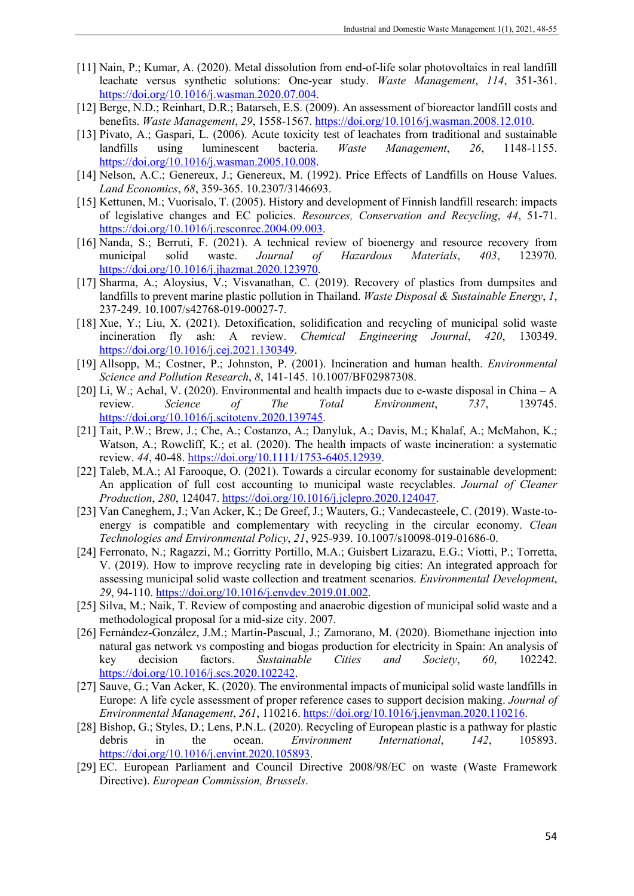- [11] Nain, P.; Kumar, A. (2020). Metal dissolution from end-of-life solar photovoltaics in real landfill leachate versus synthetic solutions: One-year study. *Waste Management*, *114*, 351-361. [https://doi.org/10.1016/j.wasman.2020.07.004.](https://doi.org/10.1016/j.wasman.2020.07.004)
- [12] Berge, N.D.; Reinhart, D.R.; Batarseh, E.S. (2009). An assessment of bioreactor landfill costs and benefits. *Waste Management*, *29*, 1558-1567. [https://doi.org/10.1016/j.wasman.2008.12.010.](https://doi.org/10.1016/j.wasman.2008.12.010)
- [13] Pivato, A.; Gaspari, L. (2006). Acute toxicity test of leachates from traditional and sustainable landfills using luminescent bacteria. *Waste Management*, *26*, 1148-1155. [https://doi.org/10.1016/j.wasman.2005.10.008.](https://doi.org/10.1016/j.wasman.2005.10.008)
- [14] Nelson, A.C.; Genereux, J.; Genereux, M. (1992). Price Effects of Landfills on House Values. *Land Economics*, *68*, 359-365. 10.2307/3146693.
- [15] Kettunen, M.; Vuorisalo, T. (2005). History and development of Finnish landfill research: impacts of legislative changes and EC policies. *Resources, Conservation and Recycling*, *44*, 51-71. [https://doi.org/10.1016/j.resconrec.2004.09.003.](https://doi.org/10.1016/j.resconrec.2004.09.003)
- [16] Nanda, S.; Berruti, F. (2021). A technical review of bioenergy and resource recovery from municipal solid waste. *Journal of Hazardous Materials*, *403*, 123970. [https://doi.org/10.1016/j.jhazmat.2020.123970.](https://doi.org/10.1016/j.jhazmat.2020.123970)
- [17] Sharma, A.; Aloysius, V.; Visvanathan, C. (2019). Recovery of plastics from dumpsites and landfills to prevent marine plastic pollution in Thailand. *Waste Disposal & Sustainable Energy*, *1*, 237-249. 10.1007/s42768-019-00027-7.
- [18] Xue, Y.; Liu, X. (2021). Detoxification, solidification and recycling of municipal solid waste incineration fly ash: A review. *Chemical Engineering Journal*, *420*, 130349. [https://doi.org/10.1016/j.cej.2021.130349.](https://doi.org/10.1016/j.cej.2021.130349)
- [19] Allsopp, M.; Costner, P.; Johnston, P. (2001). Incineration and human health. *Environmental Science and Pollution Research*, *8*, 141-145. 10.1007/BF02987308.
- [20] Li, W.; Achal, V. (2020). Environmental and health impacts due to e-waste disposal in China A review. *Science of The Total Environment*, *737*, 139745. [https://doi.org/10.1016/j.scitotenv.2020.139745.](https://doi.org/10.1016/j.scitotenv.2020.139745)
- [21] Tait, P.W.; Brew, J.; Che, A.; Costanzo, A.; Danyluk, A.; Davis, M.; Khalaf, A.; McMahon, K.; Watson, A.; Rowcliff, K.; et al. (2020). The health impacts of waste incineration: a systematic review. *44*, 40-48. [https://doi.org/10.1111/1753-6405.12939.](https://doi.org/10.1111/1753-6405.12939)
- [22] Taleb, M.A.; Al Farooque, O. (2021). Towards a circular economy for sustainable development: An application of full cost accounting to municipal waste recyclables. *Journal of Cleaner Production*, *280*, 124047. [https://doi.org/10.1016/j.jclepro.2020.124047.](https://doi.org/10.1016/j.jclepro.2020.124047)
- [23] Van Caneghem, J.; Van Acker, K.; De Greef, J.; Wauters, G.; Vandecasteele, C. (2019). Waste-toenergy is compatible and complementary with recycling in the circular economy. *Clean Technologies and Environmental Policy*, *21*, 925-939. 10.1007/s10098-019-01686-0.
- [24] Ferronato, N.; Ragazzi, M.; Gorritty Portillo, M.A.; Guisbert Lizarazu, E.G.; Viotti, P.; Torretta, V. (2019). How to improve recycling rate in developing big cities: An integrated approach for assessing municipal solid waste collection and treatment scenarios. *Environmental Development*, *29*, 94-110. [https://doi.org/10.1016/j.envdev.2019.01.002.](https://doi.org/10.1016/j.envdev.2019.01.002)
- [25] Silva, M.; Naik, T. Review of composting and anaerobic digestion of municipal solid waste and a methodological proposal for a mid-size city. 2007.
- [26] Fernández-González, J.M.; Martín-Pascual, J.; Zamorano, M. (2020). Biomethane injection into natural gas network vs composting and biogas production for electricity in Spain: An analysis of key decision factors. *Sustainable Cities and Society*, *60*, 102242. [https://doi.org/10.1016/j.scs.2020.102242.](https://doi.org/10.1016/j.scs.2020.102242)
- [27] Sauve, G.; Van Acker, K. (2020). The environmental impacts of municipal solid waste landfills in Europe: A life cycle assessment of proper reference cases to support decision making. *Journal of Environmental Management*, *261*, 110216. [https://doi.org/10.1016/j.jenvman.2020.110216.](https://doi.org/10.1016/j.jenvman.2020.110216)
- [28] Bishop, G.; Styles, D.; Lens, P.N.L. (2020). Recycling of European plastic is a pathway for plastic debris in the ocean. *Environment International*, *142*, 105893. [https://doi.org/10.1016/j.envint.2020.105893.](https://doi.org/10.1016/j.envint.2020.105893)
- [29] EC. European Parliament and Council Directive 2008/98/EC on waste (Waste Framework Directive). *European Commission, Brussels*.